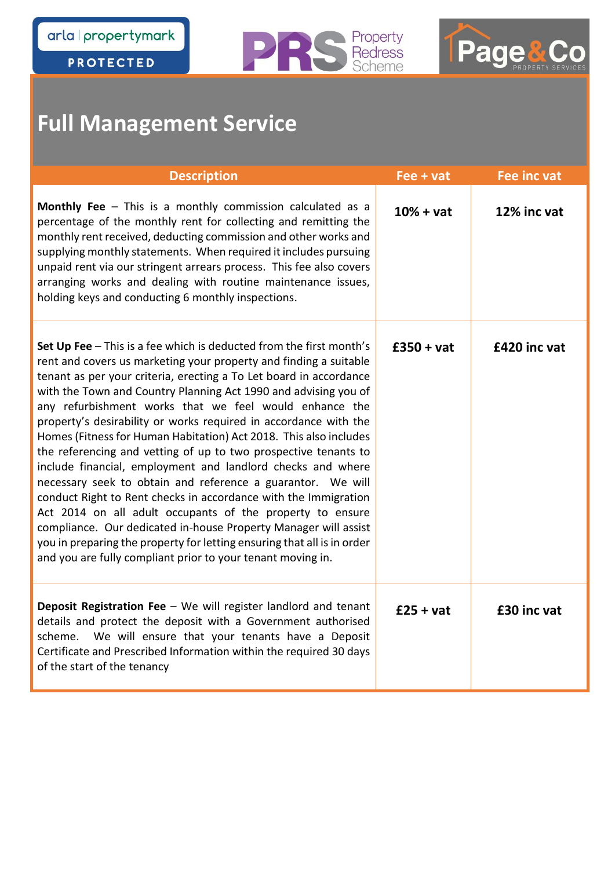**PROTECTED** 





### **Full Management Service**

| <b>Description</b>                                                                                                                                                                                                                                                                                                                                                                                                                                                                                                                                                                                                                                                                                                                                                                                                                                                                                                                                                                                                                   | Fee + vat    | Fee inc vat  |
|--------------------------------------------------------------------------------------------------------------------------------------------------------------------------------------------------------------------------------------------------------------------------------------------------------------------------------------------------------------------------------------------------------------------------------------------------------------------------------------------------------------------------------------------------------------------------------------------------------------------------------------------------------------------------------------------------------------------------------------------------------------------------------------------------------------------------------------------------------------------------------------------------------------------------------------------------------------------------------------------------------------------------------------|--------------|--------------|
| Monthly Fee - This is a monthly commission calculated as a<br>percentage of the monthly rent for collecting and remitting the<br>monthly rent received, deducting commission and other works and<br>supplying monthly statements. When required it includes pursuing<br>unpaid rent via our stringent arrears process. This fee also covers<br>arranging works and dealing with routine maintenance issues,<br>holding keys and conducting 6 monthly inspections.                                                                                                                                                                                                                                                                                                                                                                                                                                                                                                                                                                    | $10% + vat$  | 12% inc vat  |
| Set Up Fee $-$ This is a fee which is deducted from the first month's<br>rent and covers us marketing your property and finding a suitable<br>tenant as per your criteria, erecting a To Let board in accordance<br>with the Town and Country Planning Act 1990 and advising you of<br>any refurbishment works that we feel would enhance the<br>property's desirability or works required in accordance with the<br>Homes (Fitness for Human Habitation) Act 2018. This also includes<br>the referencing and vetting of up to two prospective tenants to<br>include financial, employment and landlord checks and where<br>necessary seek to obtain and reference a guarantor. We will<br>conduct Right to Rent checks in accordance with the Immigration<br>Act 2014 on all adult occupants of the property to ensure<br>compliance. Our dedicated in-house Property Manager will assist<br>you in preparing the property for letting ensuring that all is in order<br>and you are fully compliant prior to your tenant moving in. | $£350 + vat$ | £420 inc vat |
| <b>Deposit Registration Fee</b> $-$ We will register landlord and tenant<br>details and protect the deposit with a Government authorised<br>scheme. We will ensure that your tenants have a Deposit<br>Certificate and Prescribed Information within the required 30 days<br>of the start of the tenancy                                                                                                                                                                                                                                                                                                                                                                                                                                                                                                                                                                                                                                                                                                                             | $£25 + vat$  | £30 inc vat  |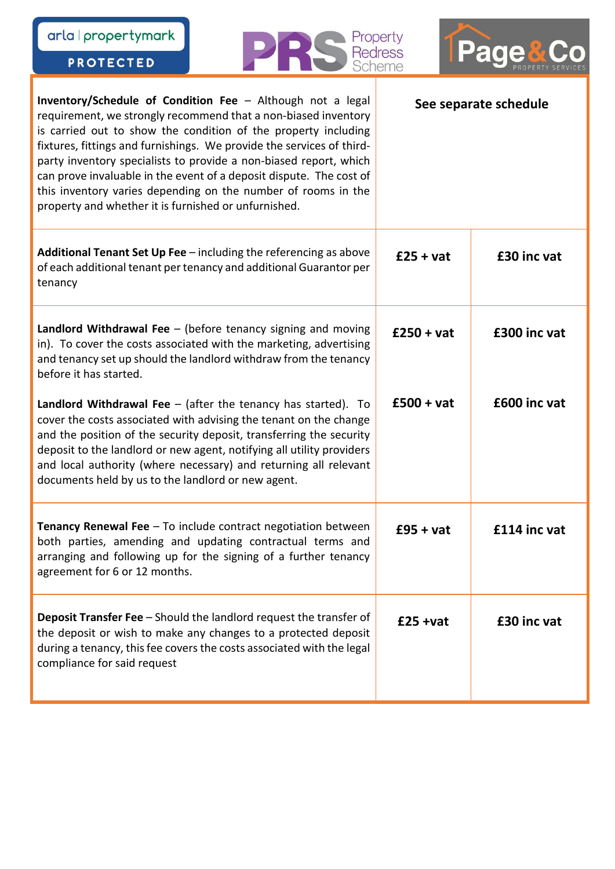| arla   propertymark<br>Property<br>Pac<br><b>Redress</b><br><b>PROTECTED</b>                                                                                                                                                                                                                                                                                                                                                                                                                                                                 |  |                                 |              |
|----------------------------------------------------------------------------------------------------------------------------------------------------------------------------------------------------------------------------------------------------------------------------------------------------------------------------------------------------------------------------------------------------------------------------------------------------------------------------------------------------------------------------------------------|--|---------------------------------|--------------|
| Inventory/Schedule of Condition Fee - Although not a legal<br>requirement, we strongly recommend that a non-biased inventory<br>is carried out to show the condition of the property including<br>fixtures, fittings and furnishings. We provide the services of third-<br>party inventory specialists to provide a non-biased report, which<br>can prove invaluable in the event of a deposit dispute. The cost of<br>this inventory varies depending on the number of rooms in the<br>property and whether it is furnished or unfurnished. |  | Scheme<br>See separate schedule |              |
| Additional Tenant Set Up Fee - including the referencing as above<br>of each additional tenant per tenancy and additional Guarantor per<br>tenancy                                                                                                                                                                                                                                                                                                                                                                                           |  | $£25 + vat$                     | £30 inc vat  |
| Landlord Withdrawal Fee $-$ (before tenancy signing and moving<br>in). To cover the costs associated with the marketing, advertising<br>and tenancy set up should the landlord withdraw from the tenancy<br>before it has started.                                                                                                                                                                                                                                                                                                           |  | $£250 + vat$                    | £300 inc vat |
| Landlord Withdrawal Fee $-$ (after the tenancy has started). To<br>cover the costs associated with advising the tenant on the change<br>and the position of the security deposit, transferring the security<br>deposit to the landlord or new agent, notifying all utility providers<br>and local authority (where necessary) and returning all relevant<br>documents held by us to the landlord or new agent.                                                                                                                               |  | $£500 + vat$                    | £600 inc vat |
| <b>Tenancy Renewal Fee</b> $-$ To include contract negotiation between<br>both parties, amending and updating contractual terms and<br>arranging and following up for the signing of a further tenancy<br>agreement for 6 or 12 months.                                                                                                                                                                                                                                                                                                      |  | $£95 + vat$                     | £114 inc vat |
| <b>Deposit Transfer Fee</b> - Should the landlord request the transfer of<br>the deposit or wish to make any changes to a protected deposit<br>during a tenancy, this fee covers the costs associated with the legal<br>compliance for said request                                                                                                                                                                                                                                                                                          |  | $£25 + vat$                     | £30 inc vat  |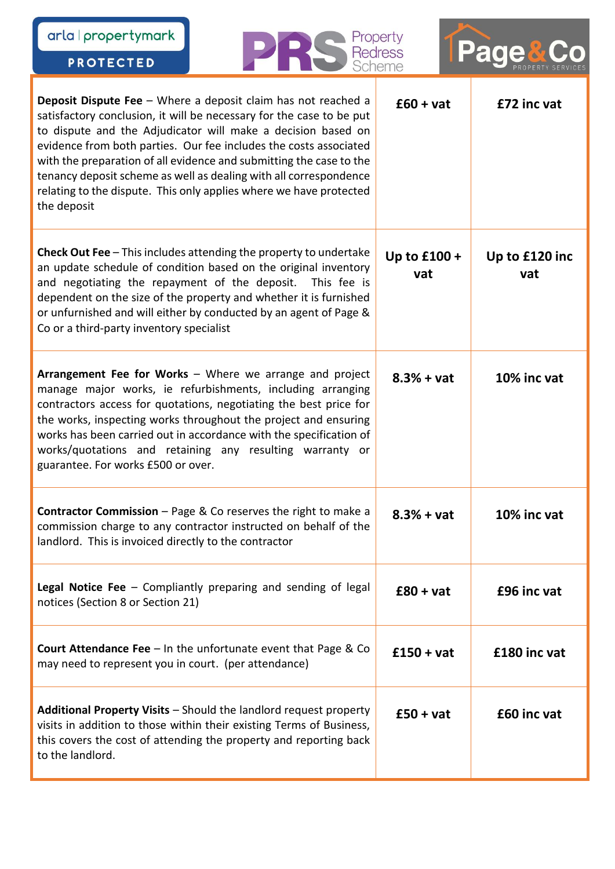| arla   propertymark<br><b>PROTECTED</b>               |                                                                                                                                                                                                                                                                                                                                                                                                                                                                                                       | Property<br><b>Redress</b><br>Scheme |                       |
|-------------------------------------------------------|-------------------------------------------------------------------------------------------------------------------------------------------------------------------------------------------------------------------------------------------------------------------------------------------------------------------------------------------------------------------------------------------------------------------------------------------------------------------------------------------------------|--------------------------------------|-----------------------|
| the deposit                                           | <b>Deposit Dispute Fee</b> $-$ Where a deposit claim has not reached a<br>satisfactory conclusion, it will be necessary for the case to be put<br>to dispute and the Adjudicator will make a decision based on<br>evidence from both parties. Our fee includes the costs associated<br>with the preparation of all evidence and submitting the case to the<br>tenancy deposit scheme as well as dealing with all correspondence<br>relating to the dispute. This only applies where we have protected | $£60 + vat$                          | £72 inc vat           |
| Co or a third-party inventory specialist              | <b>Check Out Fee</b> $-$ This includes attending the property to undertake<br>an update schedule of condition based on the original inventory<br>and negotiating the repayment of the deposit. This fee is<br>dependent on the size of the property and whether it is furnished<br>or unfurnished and will either by conducted by an agent of Page &                                                                                                                                                  | Up to £100 +<br>vat                  | Up to £120 inc<br>vat |
| guarantee. For works £500 or over.                    | Arrangement Fee for Works - Where we arrange and project<br>manage major works, ie refurbishments, including arranging<br>contractors access for quotations, negotiating the best price for<br>the works, inspecting works throughout the project and ensuring<br>works has been carried out in accordance with the specification of<br>works/quotations and retaining any resulting warranty or                                                                                                      | $8.3% + vat$                         | 10% inc vat           |
| landlord. This is invoiced directly to the contractor | <b>Contractor Commission</b> $-$ Page & Co reserves the right to make a<br>commission charge to any contractor instructed on behalf of the                                                                                                                                                                                                                                                                                                                                                            | $8.3% + vat$                         | 10% inc vat           |
| notices (Section 8 or Section 21)                     | <b>Legal Notice Fee</b> $-$ Compliantly preparing and sending of legal                                                                                                                                                                                                                                                                                                                                                                                                                                | $£80 + vat$                          | £96 inc vat           |
| may need to represent you in court. (per attendance)  | <b>Court Attendance Fee</b> $-$ In the unfortunate event that Page & Co                                                                                                                                                                                                                                                                                                                                                                                                                               | $£150 + vat$                         | £180 inc vat          |
| to the landlord.                                      | Additional Property Visits - Should the landlord request property<br>visits in addition to those within their existing Terms of Business,<br>this covers the cost of attending the property and reporting back                                                                                                                                                                                                                                                                                        | $£50 + vat$                          | £60 inc vat           |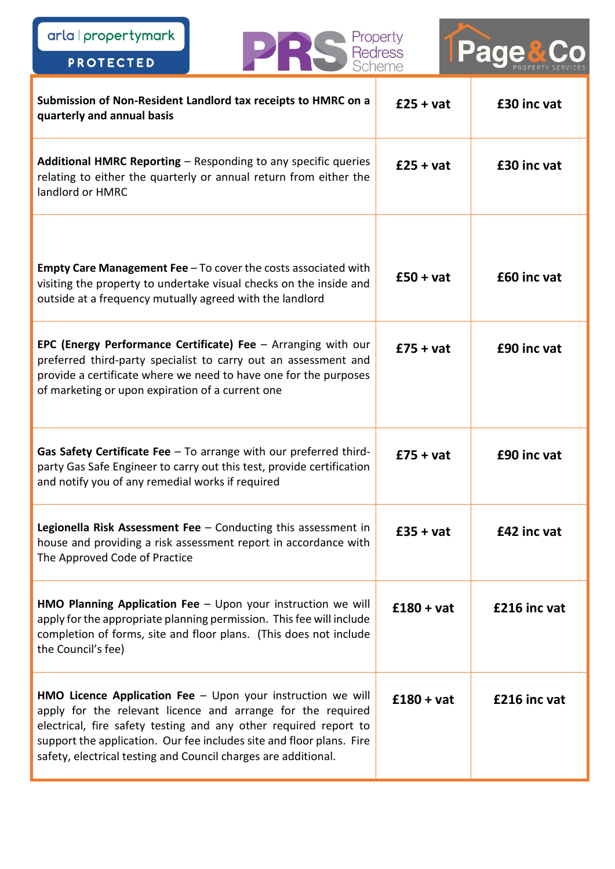arla | propertymark

PROTECTED

TPage&Co

Property<br>Redress<br>Scheme

D

 $\Box$ 

| Submission of Non-Resident Landlord tax receipts to HMRC on a<br>quarterly and annual basis                                                                                                                                                                                                                                                       | $£25 + vat$  | £30 inc vat  |
|---------------------------------------------------------------------------------------------------------------------------------------------------------------------------------------------------------------------------------------------------------------------------------------------------------------------------------------------------|--------------|--------------|
| Additional HMRC Reporting - Responding to any specific queries<br>relating to either the quarterly or annual return from either the<br>landlord or HMRC                                                                                                                                                                                           | $£25 + vat$  | £30 inc vat  |
| <b>Empty Care Management Fee</b> $-$ To cover the costs associated with<br>visiting the property to undertake visual checks on the inside and<br>outside at a frequency mutually agreed with the landlord                                                                                                                                         | $£50 + vat$  | £60 inc vat  |
| EPC (Energy Performance Certificate) Fee $-$ Arranging with our<br>preferred third-party specialist to carry out an assessment and<br>provide a certificate where we need to have one for the purposes<br>of marketing or upon expiration of a current one                                                                                        | $£75 + vat$  | £90 inc vat  |
| Gas Safety Certificate Fee $-$ To arrange with our preferred third-<br>party Gas Safe Engineer to carry out this test, provide certification<br>and notify you of any remedial works if required                                                                                                                                                  | $£75 + vat$  | £90 inc vat  |
| Legionella Risk Assessment Fee $-$ Conducting this assessment in<br>house and providing a risk assessment report in accordance with<br>The Approved Code of Practice                                                                                                                                                                              | $£35 + vat$  | £42 inc vat  |
| <b>HMO Planning Application Fee</b> $-$ Upon your instruction we will<br>apply for the appropriate planning permission. This fee will include<br>completion of forms, site and floor plans. (This does not include<br>the Council's fee)                                                                                                          | $£180 + vat$ | £216 inc vat |
| <b>HMO Licence Application Fee</b> $-$ Upon your instruction we will<br>apply for the relevant licence and arrange for the required<br>electrical, fire safety testing and any other required report to<br>support the application. Our fee includes site and floor plans. Fire<br>safety, electrical testing and Council charges are additional. | $£180 + vat$ | £216 inc vat |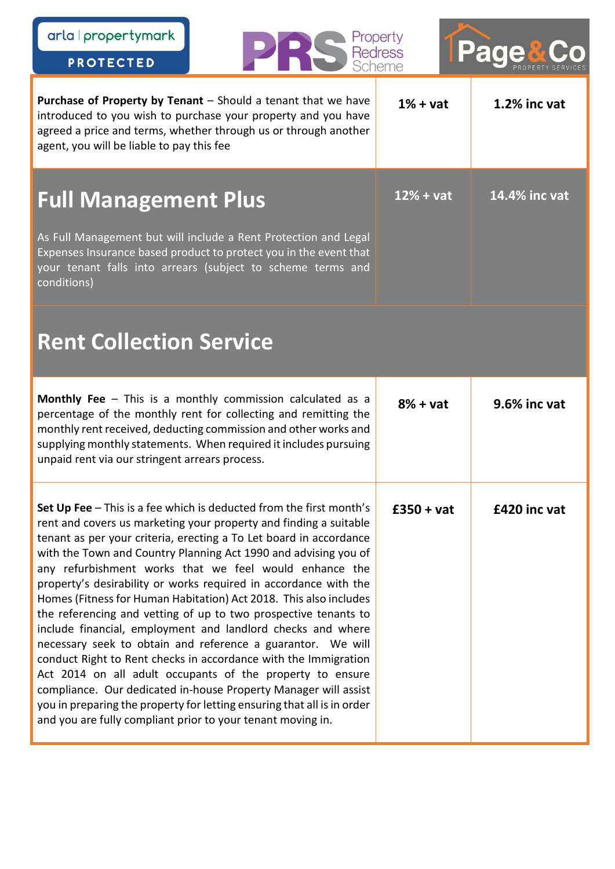| arla   propertymark<br><b>PROTECTED</b>                                                                                                                                                                                                                                                                                                                                                                                                                                                                                                                                                                                                                                                                                                                                                                                                                                                                                                                                                                                            | Property<br><b>Redress</b><br>Scheme | <b>Page&amp;</b> |
|------------------------------------------------------------------------------------------------------------------------------------------------------------------------------------------------------------------------------------------------------------------------------------------------------------------------------------------------------------------------------------------------------------------------------------------------------------------------------------------------------------------------------------------------------------------------------------------------------------------------------------------------------------------------------------------------------------------------------------------------------------------------------------------------------------------------------------------------------------------------------------------------------------------------------------------------------------------------------------------------------------------------------------|--------------------------------------|------------------|
| Purchase of Property by Tenant - Should a tenant that we have<br>introduced to you wish to purchase your property and you have<br>agreed a price and terms, whether through us or through another<br>agent, you will be liable to pay this fee                                                                                                                                                                                                                                                                                                                                                                                                                                                                                                                                                                                                                                                                                                                                                                                     | $1% + vat$                           | 1.2% inc vat     |
| <b>Full Management Plus</b><br>As Full Management but will include a Rent Protection and Legal<br>Expenses Insurance based product to protect you in the event that<br>your tenant falls into arrears (subject to scheme terms and<br>conditions)                                                                                                                                                                                                                                                                                                                                                                                                                                                                                                                                                                                                                                                                                                                                                                                  | $12% + vat$                          | 14.4% inc vat    |
| <b>Rent Collection Service</b>                                                                                                                                                                                                                                                                                                                                                                                                                                                                                                                                                                                                                                                                                                                                                                                                                                                                                                                                                                                                     |                                      |                  |
| <b>Monthly Fee</b> $-$ This is a monthly commission calculated as a<br>percentage of the monthly rent for collecting and remitting the<br>monthly rent received, deducting commission and other works and<br>supplying monthly statements. When required it includes pursuing<br>unpaid rent via our stringent arrears process.                                                                                                                                                                                                                                                                                                                                                                                                                                                                                                                                                                                                                                                                                                    | $8% + vat$                           | 9.6% inc vat     |
| Set Up Fee - This is a fee which is deducted from the first month's<br>rent and covers us marketing your property and finding a suitable<br>tenant as per your criteria, erecting a To Let board in accordance<br>with the Town and Country Planning Act 1990 and advising you of<br>any refurbishment works that we feel would enhance the<br>property's desirability or works required in accordance with the<br>Homes (Fitness for Human Habitation) Act 2018. This also includes<br>the referencing and vetting of up to two prospective tenants to<br>include financial, employment and landlord checks and where<br>necessary seek to obtain and reference a guarantor. We will<br>conduct Right to Rent checks in accordance with the Immigration<br>Act 2014 on all adult occupants of the property to ensure<br>compliance. Our dedicated in-house Property Manager will assist<br>you in preparing the property for letting ensuring that all is in order<br>and you are fully compliant prior to your tenant moving in. | $£350 + vat$                         | £420 inc vat     |